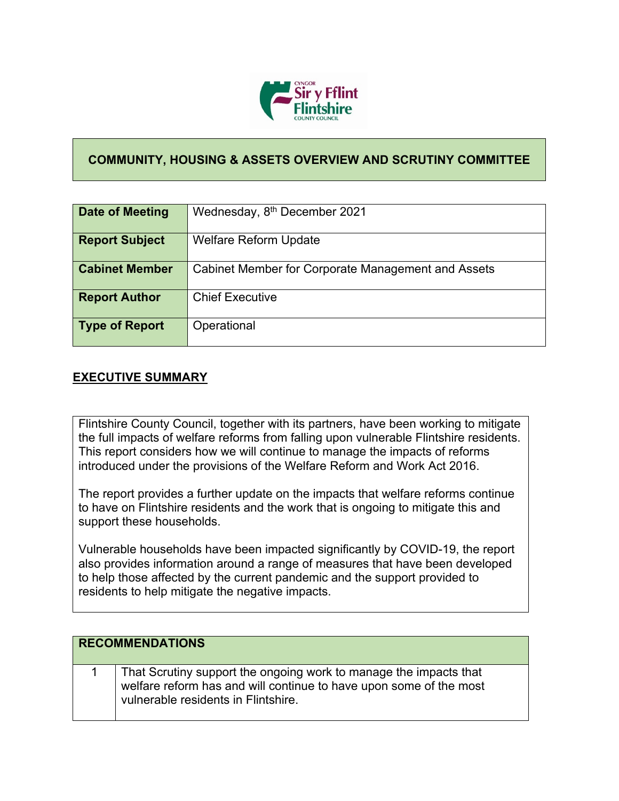

## **COMMUNITY, HOUSING & ASSETS OVERVIEW AND SCRUTINY COMMITTEE**

| Date of Meeting       | Wednesday, 8 <sup>th</sup> December 2021           |
|-----------------------|----------------------------------------------------|
| <b>Report Subject</b> | <b>Welfare Reform Update</b>                       |
| <b>Cabinet Member</b> | Cabinet Member for Corporate Management and Assets |
| <b>Report Author</b>  | <b>Chief Executive</b>                             |
| Type of Report        | Operational                                        |

## **EXECUTIVE SUMMARY**

Flintshire County Council, together with its partners, have been working to mitigate the full impacts of welfare reforms from falling upon vulnerable Flintshire residents. This report considers how we will continue to manage the impacts of reforms introduced under the provisions of the Welfare Reform and Work Act 2016.

The report provides a further update on the impacts that welfare reforms continue to have on Flintshire residents and the work that is ongoing to mitigate this and support these households.

Vulnerable households have been impacted significantly by COVID-19, the report also provides information around a range of measures that have been developed to help those affected by the current pandemic and the support provided to residents to help mitigate the negative impacts.

| <b>RECOMMENDATIONS</b>                                                                                                                                                         |
|--------------------------------------------------------------------------------------------------------------------------------------------------------------------------------|
| That Scrutiny support the ongoing work to manage the impacts that<br>welfare reform has and will continue to have upon some of the most<br>vulnerable residents in Flintshire. |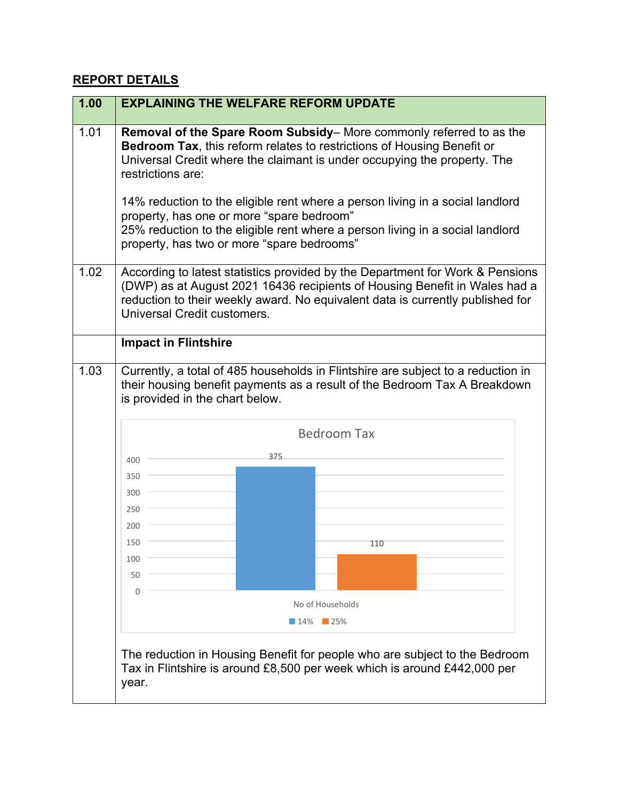## **REPORT DETAILS**

| 1.00 | <b>EXPLAINING THE WELFARE REFORM UPDATE</b>                                                                                                                                                                                                                                  |  |  |
|------|------------------------------------------------------------------------------------------------------------------------------------------------------------------------------------------------------------------------------------------------------------------------------|--|--|
| 1.01 | Removal of the Spare Room Subsidy– More commonly referred to as the<br>Bedroom Tax, this reform relates to restrictions of Housing Benefit or<br>Universal Credit where the claimant is under occupying the property. The<br>restrictions are:                               |  |  |
|      | 14% reduction to the eligible rent where a person living in a social landlord<br>property, has one or more "spare bedroom"<br>25% reduction to the eligible rent where a person living in a social landlord<br>property, has two or more "spare bedrooms"                    |  |  |
| 1.02 | According to latest statistics provided by the Department for Work & Pensions<br>(DWP) as at August 2021 16436 recipients of Housing Benefit in Wales had a<br>reduction to their weekly award. No equivalent data is currently published for<br>Universal Credit customers. |  |  |
|      | <b>Impact in Flintshire</b>                                                                                                                                                                                                                                                  |  |  |
| 1.03 | Currently, a total of 485 households in Flintshire are subject to a reduction in<br>their housing benefit payments as a result of the Bedroom Tax A Breakdown<br>is provided in the chart below.                                                                             |  |  |
|      | <b>Bedroom Tax</b>                                                                                                                                                                                                                                                           |  |  |
|      | 375<br>400                                                                                                                                                                                                                                                                   |  |  |
|      | 350                                                                                                                                                                                                                                                                          |  |  |
|      | 300                                                                                                                                                                                                                                                                          |  |  |
|      | 250                                                                                                                                                                                                                                                                          |  |  |
|      | 200                                                                                                                                                                                                                                                                          |  |  |
|      | 150<br>110                                                                                                                                                                                                                                                                   |  |  |
|      | 100                                                                                                                                                                                                                                                                          |  |  |
|      | 50                                                                                                                                                                                                                                                                           |  |  |
|      | $\Omega$                                                                                                                                                                                                                                                                     |  |  |
|      | No of Households                                                                                                                                                                                                                                                             |  |  |
|      | $\blacksquare$ 14% $\blacksquare$ 25%                                                                                                                                                                                                                                        |  |  |
|      | The reduction in Housing Benefit for people who are subject to the Bedroom<br>Tax in Flintshire is around £8,500 per week which is around £442,000 per<br>year.                                                                                                              |  |  |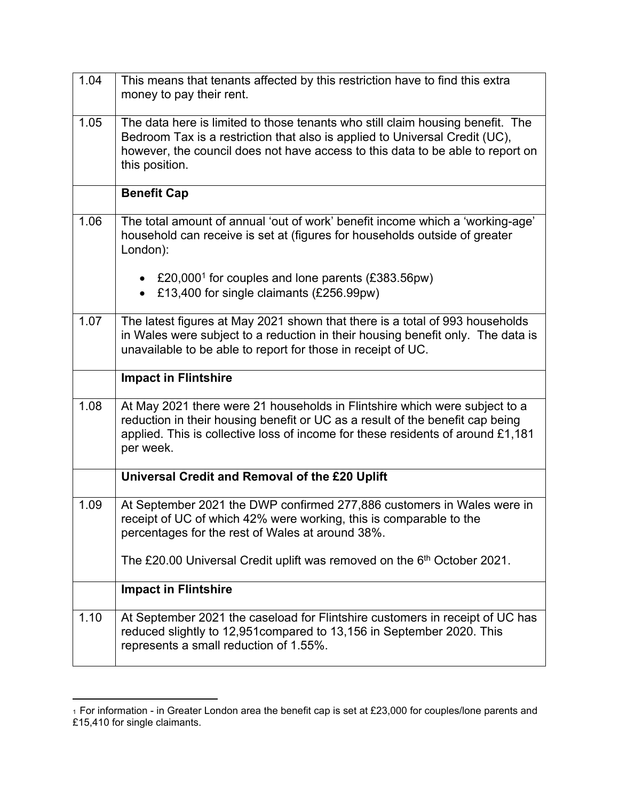| 1.04 | This means that tenants affected by this restriction have to find this extra<br>money to pay their rent.                                                                                                                                                          |
|------|-------------------------------------------------------------------------------------------------------------------------------------------------------------------------------------------------------------------------------------------------------------------|
| 1.05 | The data here is limited to those tenants who still claim housing benefit. The<br>Bedroom Tax is a restriction that also is applied to Universal Credit (UC),<br>however, the council does not have access to this data to be able to report on<br>this position. |
|      | <b>Benefit Cap</b>                                                                                                                                                                                                                                                |
| 1.06 | The total amount of annual 'out of work' benefit income which a 'working-age'<br>household can receive is set at (figures for households outside of greater<br>London):                                                                                           |
|      | £20,000 <sup>1</sup> for couples and lone parents $(£383.56pw)$<br>£13,400 for single claimants (£256.99pw)                                                                                                                                                       |
| 1.07 | The latest figures at May 2021 shown that there is a total of 993 households<br>in Wales were subject to a reduction in their housing benefit only. The data is<br>unavailable to be able to report for those in receipt of UC.                                   |
|      | <b>Impact in Flintshire</b>                                                                                                                                                                                                                                       |
| 1.08 | At May 2021 there were 21 households in Flintshire which were subject to a<br>reduction in their housing benefit or UC as a result of the benefit cap being<br>applied. This is collective loss of income for these residents of around £1,181<br>per week.       |
|      | Universal Credit and Removal of the £20 Uplift                                                                                                                                                                                                                    |
| 1.09 | At September 2021 the DWP confirmed 277,886 customers in Wales were in<br>receipt of UC of which 42% were working, this is comparable to the<br>percentages for the rest of Wales at around 38%.                                                                  |
|      | The £20.00 Universal Credit uplift was removed on the 6 <sup>th</sup> October 2021.                                                                                                                                                                               |
|      | <b>Impact in Flintshire</b>                                                                                                                                                                                                                                       |
| 1.10 | At September 2021 the caseload for Flintshire customers in receipt of UC has<br>reduced slightly to 12,951 compared to 13,156 in September 2020. This<br>represents a small reduction of 1.55%.                                                                   |

 $_1$  For information - in Greater London area the benefit cap is set at £23,000 for couples/lone parents and £15,410 for single claimants.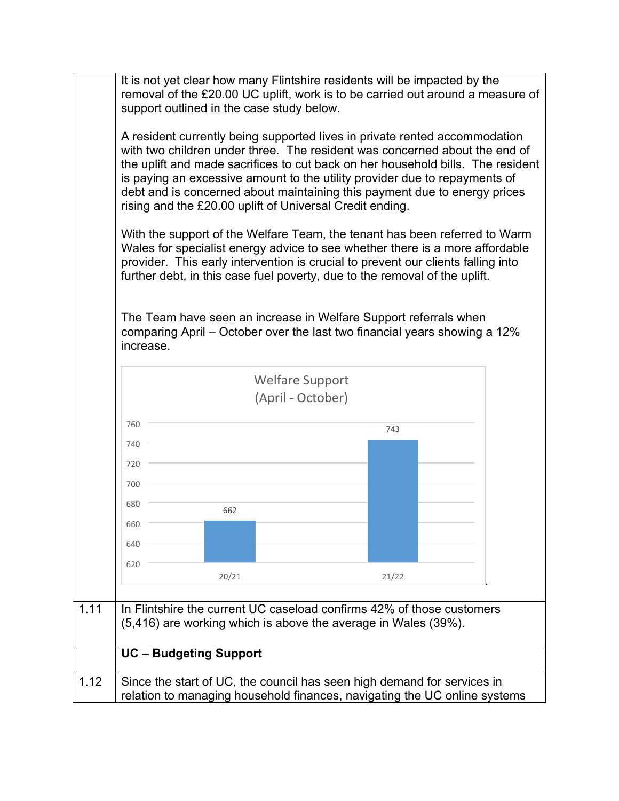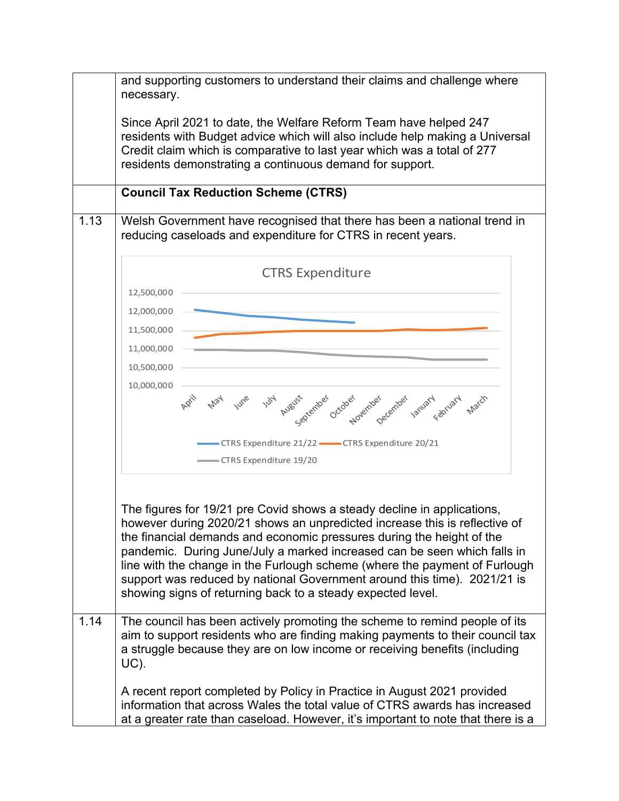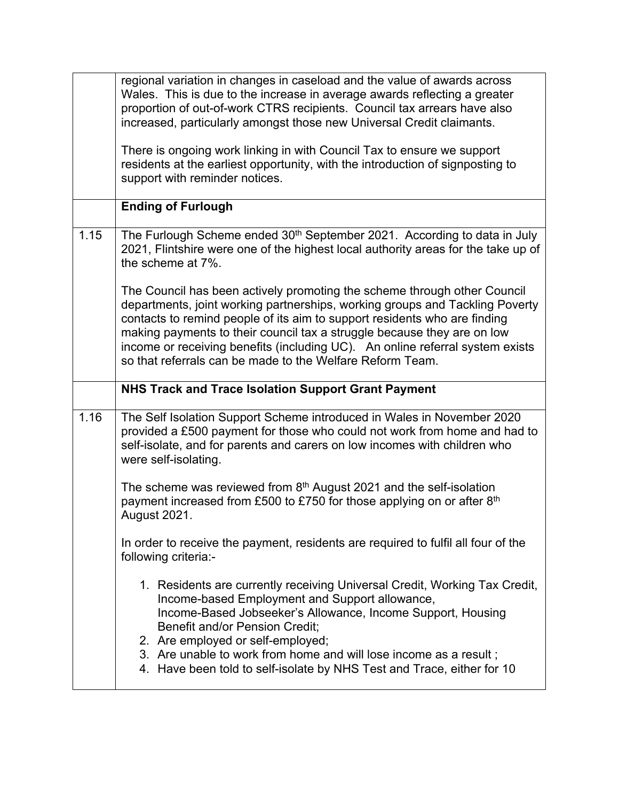|      | regional variation in changes in caseload and the value of awards across<br>Wales. This is due to the increase in average awards reflecting a greater<br>proportion of out-of-work CTRS recipients. Council tax arrears have also<br>increased, particularly amongst those new Universal Credit claimants.<br>There is ongoing work linking in with Council Tax to ensure we support                                                                           |
|------|----------------------------------------------------------------------------------------------------------------------------------------------------------------------------------------------------------------------------------------------------------------------------------------------------------------------------------------------------------------------------------------------------------------------------------------------------------------|
|      | residents at the earliest opportunity, with the introduction of signposting to<br>support with reminder notices.                                                                                                                                                                                                                                                                                                                                               |
|      | <b>Ending of Furlough</b>                                                                                                                                                                                                                                                                                                                                                                                                                                      |
| 1.15 | The Furlough Scheme ended 30 <sup>th</sup> September 2021. According to data in July<br>2021, Flintshire were one of the highest local authority areas for the take up of<br>the scheme at 7%.                                                                                                                                                                                                                                                                 |
|      | The Council has been actively promoting the scheme through other Council<br>departments, joint working partnerships, working groups and Tackling Poverty<br>contacts to remind people of its aim to support residents who are finding<br>making payments to their council tax a struggle because they are on low<br>income or receiving benefits (including UC). An online referral system exists<br>so that referrals can be made to the Welfare Reform Team. |
|      |                                                                                                                                                                                                                                                                                                                                                                                                                                                                |
|      | <b>NHS Track and Trace Isolation Support Grant Payment</b>                                                                                                                                                                                                                                                                                                                                                                                                     |
| 1.16 | The Self Isolation Support Scheme introduced in Wales in November 2020<br>provided a £500 payment for those who could not work from home and had to<br>self-isolate, and for parents and carers on low incomes with children who<br>were self-isolating.                                                                                                                                                                                                       |
|      | The scheme was reviewed from $8th$ August 2021 and the self-isolation<br>payment increased from £500 to £750 for those applying on or after 8 <sup>th</sup><br>August 2021.                                                                                                                                                                                                                                                                                    |
|      | In order to receive the payment, residents are required to fulfil all four of the<br>following criteria:-                                                                                                                                                                                                                                                                                                                                                      |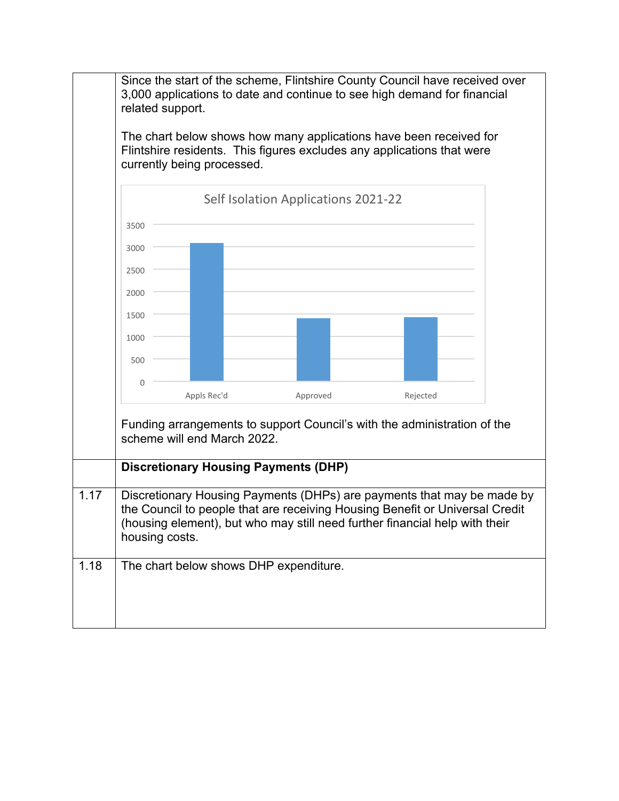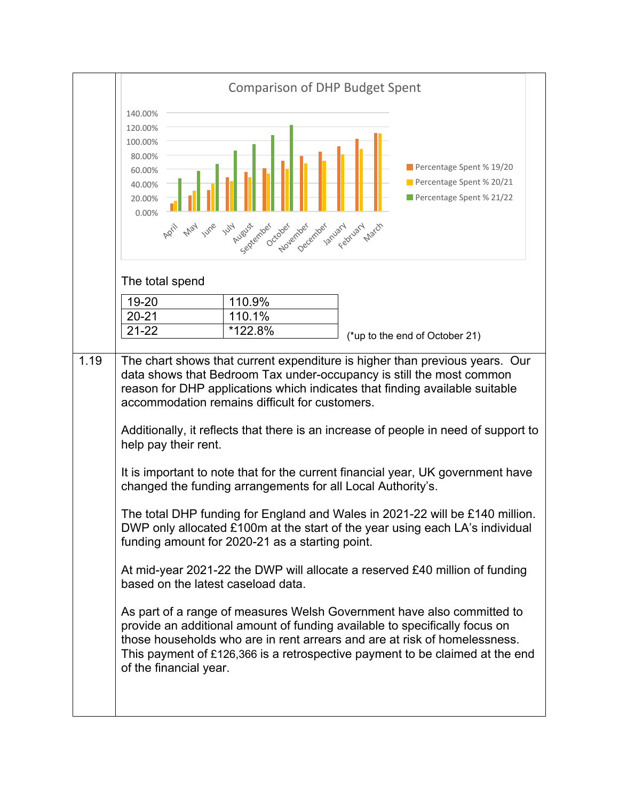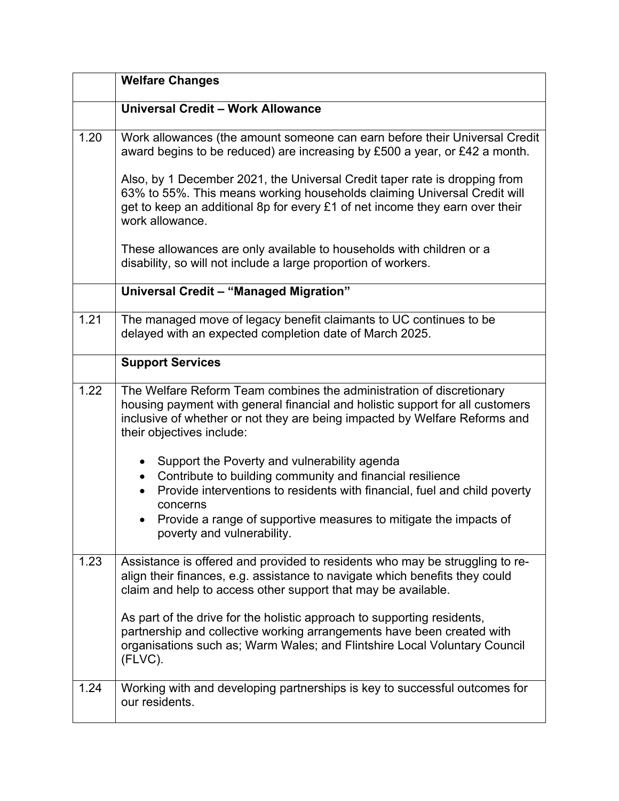|      | <b>Welfare Changes</b>                                                                                                                                                                                                                                                                                                                                                                                                                                                    |
|------|---------------------------------------------------------------------------------------------------------------------------------------------------------------------------------------------------------------------------------------------------------------------------------------------------------------------------------------------------------------------------------------------------------------------------------------------------------------------------|
|      | Universal Credit - Work Allowance                                                                                                                                                                                                                                                                                                                                                                                                                                         |
| 1.20 | Work allowances (the amount someone can earn before their Universal Credit<br>award begins to be reduced) are increasing by £500 a year, or £42 a month.                                                                                                                                                                                                                                                                                                                  |
|      | Also, by 1 December 2021, the Universal Credit taper rate is dropping from<br>63% to 55%. This means working households claiming Universal Credit will<br>get to keep an additional 8p for every £1 of net income they earn over their<br>work allowance.                                                                                                                                                                                                                 |
|      | These allowances are only available to households with children or a<br>disability, so will not include a large proportion of workers.                                                                                                                                                                                                                                                                                                                                    |
|      | Universal Credit - "Managed Migration"                                                                                                                                                                                                                                                                                                                                                                                                                                    |
| 1.21 | The managed move of legacy benefit claimants to UC continues to be<br>delayed with an expected completion date of March 2025.                                                                                                                                                                                                                                                                                                                                             |
|      | <b>Support Services</b>                                                                                                                                                                                                                                                                                                                                                                                                                                                   |
| 1.22 | The Welfare Reform Team combines the administration of discretionary<br>housing payment with general financial and holistic support for all customers<br>inclusive of whether or not they are being impacted by Welfare Reforms and<br>their objectives include:                                                                                                                                                                                                          |
|      | Support the Poverty and vulnerability agenda<br>Contribute to building community and financial resilience<br>$\bullet$<br>Provide interventions to residents with financial, fuel and child poverty<br>concerns<br>Provide a range of supportive measures to mitigate the impacts of<br>poverty and vulnerability.                                                                                                                                                        |
| 1.23 | Assistance is offered and provided to residents who may be struggling to re-<br>align their finances, e.g. assistance to navigate which benefits they could<br>claim and help to access other support that may be available.<br>As part of the drive for the holistic approach to supporting residents,<br>partnership and collective working arrangements have been created with<br>organisations such as; Warm Wales; and Flintshire Local Voluntary Council<br>(FLVC). |
| 1.24 | Working with and developing partnerships is key to successful outcomes for<br>our residents.                                                                                                                                                                                                                                                                                                                                                                              |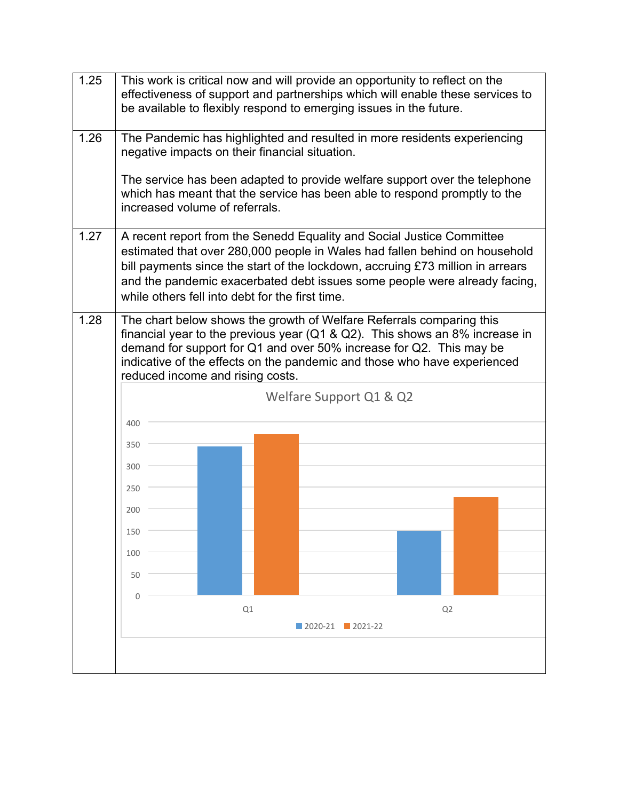| 1.25 |                                                                                                                                                                                                                                                                                                                                                |    | This work is critical now and will provide an opportunity to reflect on the<br>effectiveness of support and partnerships which will enable these services to<br>be available to flexibly respond to emerging issues in the future.                                                                                 |    |  |
|------|------------------------------------------------------------------------------------------------------------------------------------------------------------------------------------------------------------------------------------------------------------------------------------------------------------------------------------------------|----|--------------------------------------------------------------------------------------------------------------------------------------------------------------------------------------------------------------------------------------------------------------------------------------------------------------------|----|--|
| 1.26 | negative impacts on their financial situation.                                                                                                                                                                                                                                                                                                 |    | The Pandemic has highlighted and resulted in more residents experiencing                                                                                                                                                                                                                                           |    |  |
|      | increased volume of referrals.                                                                                                                                                                                                                                                                                                                 |    | The service has been adapted to provide welfare support over the telephone<br>which has meant that the service has been able to respond promptly to the                                                                                                                                                            |    |  |
| 1.27 | while others fell into debt for the first time.                                                                                                                                                                                                                                                                                                |    | A recent report from the Senedd Equality and Social Justice Committee<br>estimated that over 280,000 people in Wales had fallen behind on household<br>bill payments since the start of the lockdown, accruing £73 million in arrears<br>and the pandemic exacerbated debt issues some people were already facing, |    |  |
| 1.28 | The chart below shows the growth of Welfare Referrals comparing this<br>financial year to the previous year ( $Q1 & Q2$ ). This shows an 8% increase in<br>demand for support for Q1 and over 50% increase for Q2. This may be<br>indicative of the effects on the pandemic and those who have experienced<br>reduced income and rising costs. |    |                                                                                                                                                                                                                                                                                                                    |    |  |
|      |                                                                                                                                                                                                                                                                                                                                                |    | Welfare Support Q1 & Q2                                                                                                                                                                                                                                                                                            |    |  |
|      | 400                                                                                                                                                                                                                                                                                                                                            |    |                                                                                                                                                                                                                                                                                                                    |    |  |
|      | 350                                                                                                                                                                                                                                                                                                                                            |    |                                                                                                                                                                                                                                                                                                                    |    |  |
|      | 300                                                                                                                                                                                                                                                                                                                                            |    |                                                                                                                                                                                                                                                                                                                    |    |  |
|      | 250                                                                                                                                                                                                                                                                                                                                            |    |                                                                                                                                                                                                                                                                                                                    |    |  |
|      | 200                                                                                                                                                                                                                                                                                                                                            |    |                                                                                                                                                                                                                                                                                                                    |    |  |
|      | 150                                                                                                                                                                                                                                                                                                                                            |    |                                                                                                                                                                                                                                                                                                                    |    |  |
|      | 100                                                                                                                                                                                                                                                                                                                                            |    |                                                                                                                                                                                                                                                                                                                    |    |  |
|      | 50                                                                                                                                                                                                                                                                                                                                             |    |                                                                                                                                                                                                                                                                                                                    |    |  |
|      | $\Omega$                                                                                                                                                                                                                                                                                                                                       | Q1 |                                                                                                                                                                                                                                                                                                                    | Q2 |  |
|      |                                                                                                                                                                                                                                                                                                                                                |    | $\blacksquare$ 2020-21 $\blacksquare$ 2021-22                                                                                                                                                                                                                                                                      |    |  |
|      |                                                                                                                                                                                                                                                                                                                                                |    |                                                                                                                                                                                                                                                                                                                    |    |  |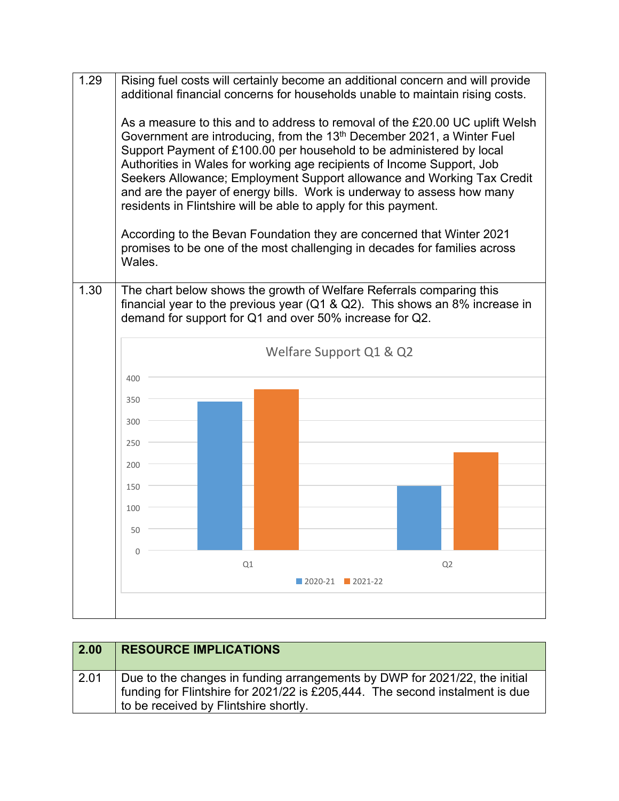

| $\overline{2.00}$ | <b>RESOURCE IMPLICATIONS</b>                                                                                                                                                                        |
|-------------------|-----------------------------------------------------------------------------------------------------------------------------------------------------------------------------------------------------|
| 2.01              | Due to the changes in funding arrangements by DWP for 2021/22, the initial<br>funding for Flintshire for 2021/22 is £205,444. The second instalment is due<br>to be received by Flintshire shortly. |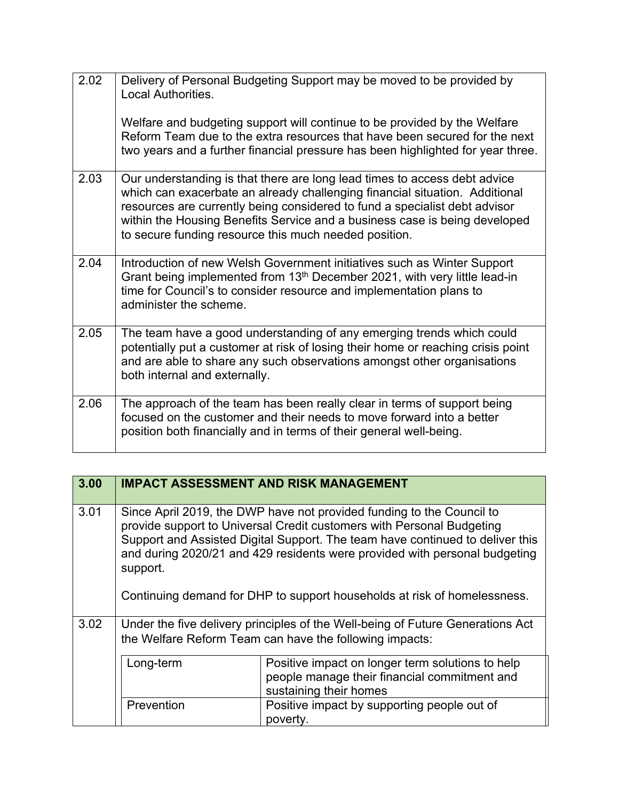| 2.02 | Delivery of Personal Budgeting Support may be moved to be provided by<br>Local Authorities.<br>Welfare and budgeting support will continue to be provided by the Welfare<br>Reform Team due to the extra resources that have been secured for the next<br>two years and a further financial pressure has been highlighted for year three.                                     |
|------|-------------------------------------------------------------------------------------------------------------------------------------------------------------------------------------------------------------------------------------------------------------------------------------------------------------------------------------------------------------------------------|
| 2.03 | Our understanding is that there are long lead times to access debt advice<br>which can exacerbate an already challenging financial situation. Additional<br>resources are currently being considered to fund a specialist debt advisor<br>within the Housing Benefits Service and a business case is being developed<br>to secure funding resource this much needed position. |
| 2.04 | Introduction of new Welsh Government initiatives such as Winter Support<br>Grant being implemented from 13 <sup>th</sup> December 2021, with very little lead-in<br>time for Council's to consider resource and implementation plans to<br>administer the scheme.                                                                                                             |
| 2.05 | The team have a good understanding of any emerging trends which could<br>potentially put a customer at risk of losing their home or reaching crisis point<br>and are able to share any such observations amongst other organisations<br>both internal and externally.                                                                                                         |
| 2.06 | The approach of the team has been really clear in terms of support being<br>focused on the customer and their needs to move forward into a better<br>position both financially and in terms of their general well-being.                                                                                                                                                      |

| 3.00 |                                                                                                                                                                                                                                                                                                                                                                                                       | <b>IMPACT ASSESSMENT AND RISK MANAGEMENT</b>                                                                               |
|------|-------------------------------------------------------------------------------------------------------------------------------------------------------------------------------------------------------------------------------------------------------------------------------------------------------------------------------------------------------------------------------------------------------|----------------------------------------------------------------------------------------------------------------------------|
| 3.01 | Since April 2019, the DWP have not provided funding to the Council to<br>provide support to Universal Credit customers with Personal Budgeting<br>Support and Assisted Digital Support. The team have continued to deliver this<br>and during 2020/21 and 429 residents were provided with personal budgeting<br>support.<br>Continuing demand for DHP to support households at risk of homelessness. |                                                                                                                            |
| 3.02 | Under the five delivery principles of the Well-being of Future Generations Act<br>the Welfare Reform Team can have the following impacts:                                                                                                                                                                                                                                                             |                                                                                                                            |
|      | Long-term                                                                                                                                                                                                                                                                                                                                                                                             | Positive impact on longer term solutions to help<br>people manage their financial commitment and<br>sustaining their homes |
|      | Prevention                                                                                                                                                                                                                                                                                                                                                                                            | Positive impact by supporting people out of<br>poverty.                                                                    |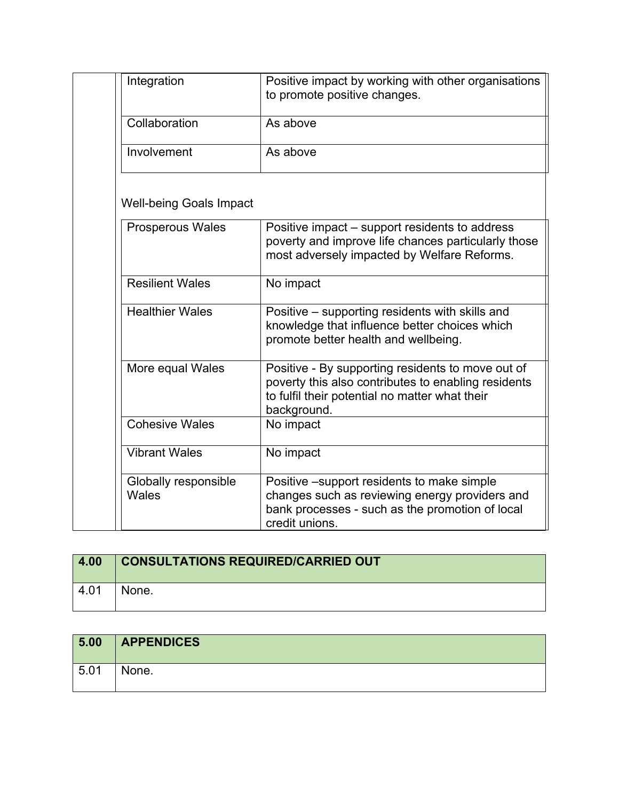| Integration                    | Positive impact by working with other organisations<br>to promote positive changes.                                                                                       |
|--------------------------------|---------------------------------------------------------------------------------------------------------------------------------------------------------------------------|
| Collaboration                  | As above                                                                                                                                                                  |
| Involvement                    | As above                                                                                                                                                                  |
| <b>Well-being Goals Impact</b> |                                                                                                                                                                           |
| <b>Prosperous Wales</b>        | Positive impact – support residents to address<br>poverty and improve life chances particularly those<br>most adversely impacted by Welfare Reforms.                      |
| <b>Resilient Wales</b>         | No impact                                                                                                                                                                 |
| <b>Healthier Wales</b>         | Positive – supporting residents with skills and<br>knowledge that influence better choices which<br>promote better health and wellbeing.                                  |
| More equal Wales               | Positive - By supporting residents to move out of<br>poverty this also contributes to enabling residents<br>to fulfil their potential no matter what their<br>background. |
| <b>Cohesive Wales</b>          | No impact                                                                                                                                                                 |
| <b>Vibrant Wales</b>           | No impact                                                                                                                                                                 |
| Globally responsible<br>Wales  | Positive -support residents to make simple<br>changes such as reviewing energy providers and<br>bank processes - such as the promotion of local<br>credit unions.         |

| 4.00 | <b>CONSULTATIONS REQUIRED/CARRIED OUT</b> |
|------|-------------------------------------------|
| 4.01 | None.                                     |

| 5.00 | <b>APPENDICES</b> |
|------|-------------------|
| 5.01 | None.             |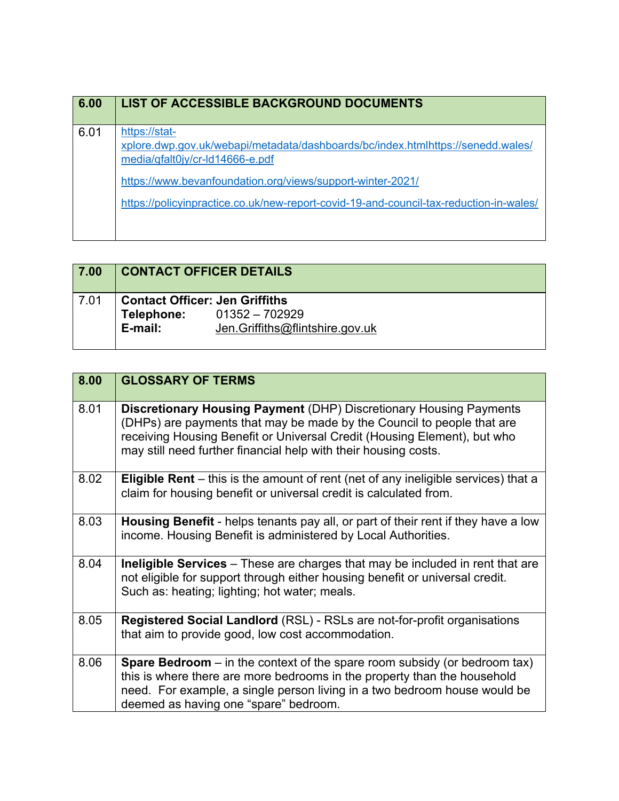| 6.00 | <b>LIST OF ACCESSIBLE BACKGROUND DOCUMENTS</b>                                                                                                       |
|------|------------------------------------------------------------------------------------------------------------------------------------------------------|
| 6.01 | https://stat-<br>xplore.dwp.gov.uk/webapi/metadata/dashboards/bc/index.htmlhttps://senedd.wales/<br>media/qfalt0jy/cr-ld14666-e.pdf                  |
|      | https://www.bevanfoundation.org/views/support-winter-2021/<br>https://policyinpractice.co.uk/new-report-covid-19-and-council-tax-reduction-in-wales/ |

| 7.00 |                                                                | <b>CONTACT OFFICER DETAILS</b>                    |
|------|----------------------------------------------------------------|---------------------------------------------------|
| 7.01 | <b>Contact Officer: Jen Griffiths</b><br>Telephone:<br>E-mail: | 01352 – 702929<br>Jen.Griffiths@flintshire.gov.uk |

| 8.00 | <b>GLOSSARY OF TERMS</b>                                                                                                                                                                                                                                                                           |
|------|----------------------------------------------------------------------------------------------------------------------------------------------------------------------------------------------------------------------------------------------------------------------------------------------------|
| 8.01 | <b>Discretionary Housing Payment (DHP) Discretionary Housing Payments</b><br>(DHPs) are payments that may be made by the Council to people that are<br>receiving Housing Benefit or Universal Credit (Housing Element), but who<br>may still need further financial help with their housing costs. |
| 8.02 | <b>Eligible Rent</b> – this is the amount of rent (net of any ineligible services) that a<br>claim for housing benefit or universal credit is calculated from.                                                                                                                                     |
| 8.03 | Housing Benefit - helps tenants pay all, or part of their rent if they have a low<br>income. Housing Benefit is administered by Local Authorities.                                                                                                                                                 |
| 8.04 | <b>Ineligible Services</b> – These are charges that may be included in rent that are<br>not eligible for support through either housing benefit or universal credit.<br>Such as: heating; lighting; hot water; meals.                                                                              |
| 8.05 | <b>Registered Social Landlord</b> (RSL) - RSLs are not-for-profit organisations<br>that aim to provide good, low cost accommodation.                                                                                                                                                               |
| 8.06 | <b>Spare Bedroom</b> – in the context of the spare room subsidy (or bedroom tax)<br>this is where there are more bedrooms in the property than the household<br>need. For example, a single person living in a two bedroom house would be<br>deemed as having one "spare" bedroom.                 |